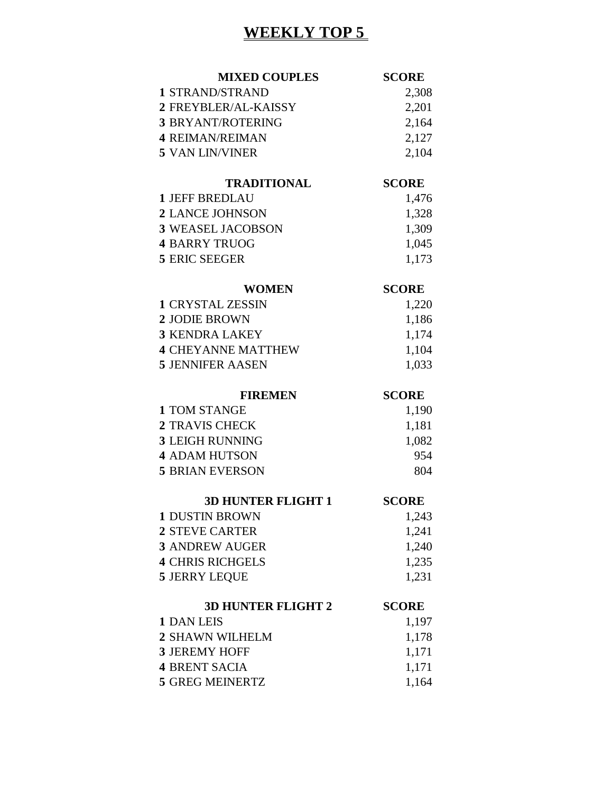# **WEEKLY TOP 5**

| <b>MIXED COUPLES</b>                           | <b>SCORE</b>   |
|------------------------------------------------|----------------|
| 1 STRAND/STRAND                                | 2,308          |
| 2 FREYBLER/AL-KAISSY                           | 2,201          |
| <b>3 BRYANT/ROTERING</b>                       | 2,164          |
| <b>4 REIMAN/REIMAN</b>                         | 2,127          |
| <b>5 VAN LIN/VINER</b>                         | 2,104          |
| <b>TRADITIONAL</b>                             | <b>SCORE</b>   |
| <b>1 JEFF BREDLAU</b>                          | 1,476          |
| <b>2 LANCE JOHNSON</b>                         | 1,328          |
| <b>3 WEASEL JACOBSON</b>                       | 1,309          |
| <b>4 BARRY TRUOG</b>                           | 1,045          |
| <b>5 ERIC SEEGER</b>                           | 1,173          |
| <b>WOMEN</b>                                   | <b>SCORE</b>   |
| <b>1 CRYSTAL ZESSIN</b>                        | 1,220          |
| 2 JODIE BROWN                                  | 1,186          |
| <b>3 KENDRA LAKEY</b>                          | 1,174          |
| <b>4 CHEYANNE MATTHEW</b>                      | 1,104          |
| <b>5 JENNIFER AASEN</b>                        | 1,033          |
|                                                |                |
| <b>FIREMEN</b>                                 | <b>SCORE</b>   |
| <b>1 TOM STANGE</b>                            |                |
| <b>2 TRAVIS CHECK</b>                          | 1,190          |
| <b>3 LEIGH RUNNING</b>                         | 1,181<br>1,082 |
| <b>4 ADAM HUTSON</b>                           | 954            |
| <b>5 BRIAN EVERSON</b>                         | 804            |
|                                                |                |
| <b>3D HUNTER FLIGHT 1</b>                      | <b>SCORE</b>   |
| <b>1 DUSTIN BROWN</b><br><b>2 STEVE CARTER</b> | 1,243          |
| <b>3 ANDREW AUGER</b>                          | 1,241          |
| <b>4 CHRIS RICHGELS</b>                        | 1,240          |
| <b>5 JERRY LEQUE</b>                           | 1,235<br>1,231 |
|                                                |                |
| <b>3D HUNTER FLIGHT 2</b><br><b>1 DAN LEIS</b> | <b>SCORE</b>   |
|                                                | 1,197          |
| <b>2 SHAWN WILHELM</b><br><b>3 JEREMY HOFF</b> | 1,178          |
| <b>4 BRENT SACIA</b>                           | 1,171<br>1,171 |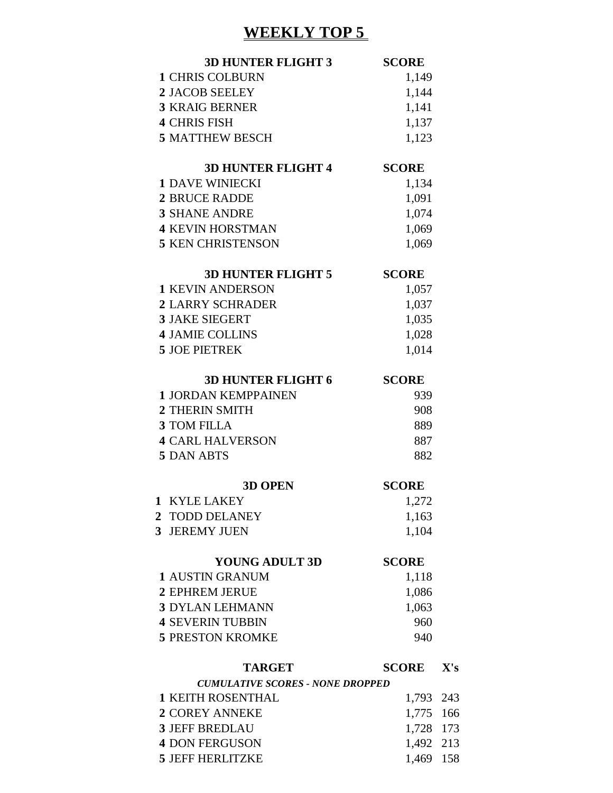## **WEEKLY TOP 5**

|              | <b>3D HUNTER FLIGHT 3</b>               | <b>SCORE</b> |     |
|--------------|-----------------------------------------|--------------|-----|
|              | <b>1 CHRIS COLBURN</b>                  | 1,149        |     |
|              | <b>2 JACOB SEELEY</b>                   | 1,144        |     |
|              | <b>3 KRAIG BERNER</b>                   | 1,141        |     |
|              | <b>4 CHRIS FISH</b>                     | 1,137        |     |
|              | <b>5 MATTHEW BESCH</b>                  | 1,123        |     |
|              | <b>3D HUNTER FLIGHT 4</b>               | <b>SCORE</b> |     |
|              | <b>1 DAVE WINIECKI</b>                  | 1,134        |     |
|              | <b>2 BRUCE RADDE</b>                    | 1,091        |     |
|              | <b>3 SHANE ANDRE</b>                    | 1,074        |     |
|              | <b>4 KEVIN HORSTMAN</b>                 | 1,069        |     |
|              | <b>5 KEN CHRISTENSON</b>                | 1,069        |     |
|              | <b>3D HUNTER FLIGHT 5</b>               | <b>SCORE</b> |     |
|              | <b>1 KEVIN ANDERSON</b>                 | 1,057        |     |
|              | <b>2 LARRY SCHRADER</b>                 | 1,037        |     |
|              | <b>3 JAKE SIEGERT</b>                   | 1,035        |     |
|              | <b>4 JAMIE COLLINS</b>                  | 1,028        |     |
|              | <b>5 JOE PIETREK</b>                    | 1,014        |     |
|              |                                         |              |     |
|              | <b>3D HUNTER FLIGHT 6</b>               | <b>SCORE</b> |     |
|              | <b>1 JORDAN KEMPPAINEN</b>              | 939          |     |
|              | 2 THERIN SMITH                          | 908          |     |
|              | <b>3 TOM FILLA</b>                      | 889          |     |
|              | <b>4 CARL HALVERSON</b>                 | 887          |     |
|              | <b>5 DAN ABTS</b>                       | 882          |     |
|              | <b>3D OPEN</b>                          | <b>SCORE</b> |     |
| $\mathbf{1}$ | <b>KYLE LAKEY</b>                       | 1,272        |     |
|              | 2 TODD DELANEY                          | 1,163        |     |
|              | 3 JEREMY JUEN                           | 1,104        |     |
|              | <b>YOUNG ADULT 3D</b>                   | <b>SCORE</b> |     |
|              | <b>1 AUSTIN GRANUM</b>                  | 1,118        |     |
|              | <b>2 EPHREM JERUE</b>                   | 1,086        |     |
|              | <b>3 DYLAN LEHMANN</b>                  | 1,063        |     |
|              | <b>4 SEVERIN TUBBIN</b>                 | 960          |     |
|              | <b>5 PRESTON KROMKE</b>                 | 940          |     |
|              | <b>TARGET</b>                           | <b>SCORE</b> | X's |
|              | <b>CUMULATIVE SCORES - NONE DROPPED</b> |              |     |
|              | <b>1 KEITH ROSENTHAL</b>                | 1,793        | 243 |
|              | <b>2 COREY ANNEKE</b>                   | 1,775        | 166 |
|              | <b>3 JEFF BREDLAU</b>                   | 1,728 173    |     |
|              | <b>4 DON FERGUSON</b>                   | 1,492        | 213 |
|              | <b>5 JEFF HERLITZKE</b>                 | 1,469        | 158 |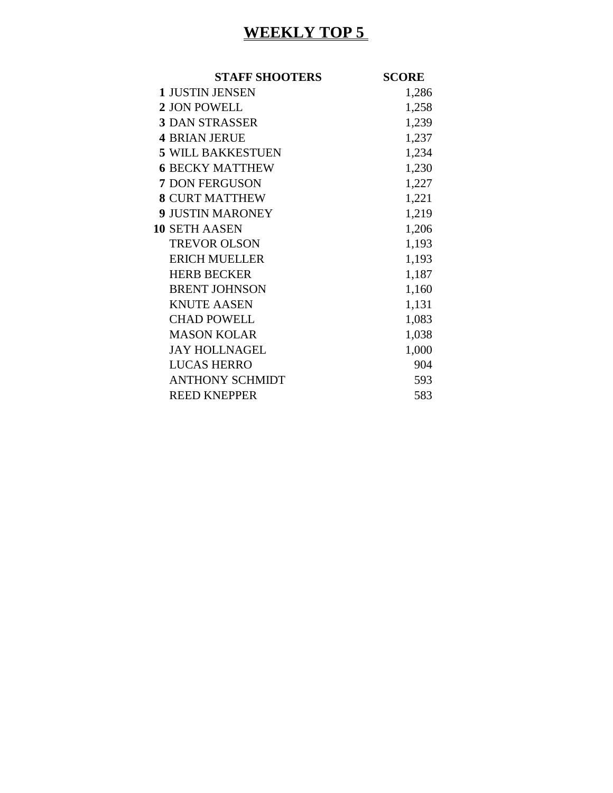# **WEEKLY TOP 5**

| <b>STAFF SHOOTERS</b>    | <b>SCORE</b> |
|--------------------------|--------------|
| <b>1 JUSTIN JENSEN</b>   | 1,286        |
| 2 JON POWELL             | 1,258        |
| <b>3 DAN STRASSER</b>    | 1,239        |
| <b>4 BRIAN JERUE</b>     | 1,237        |
| <b>5 WILL BAKKESTUEN</b> | 1,234        |
| <b>6 BECKY MATTHEW</b>   | 1,230        |
| 7 DON FERGUSON           | 1,227        |
| <b>8 CURT MATTHEW</b>    | 1,221        |
| <b>9 JUSTIN MARONEY</b>  | 1,219        |
| <b>10 SETH AASEN</b>     | 1,206        |
| <b>TREVOR OLSON</b>      | 1,193        |
| <b>ERICH MUELLER</b>     | 1,193        |
| <b>HERB BECKER</b>       | 1,187        |
| <b>BRENT JOHNSON</b>     | 1,160        |
| <b>KNUTE AASEN</b>       | 1,131        |
| <b>CHAD POWELL</b>       | 1,083        |
| <b>MASON KOLAR</b>       | 1,038        |
| <b>JAY HOLLNAGEL</b>     | 1,000        |
| <b>LUCAS HERRO</b>       | 904          |
| <b>ANTHONY SCHMIDT</b>   | 593          |
| <b>REED KNEPPER</b>      | 583          |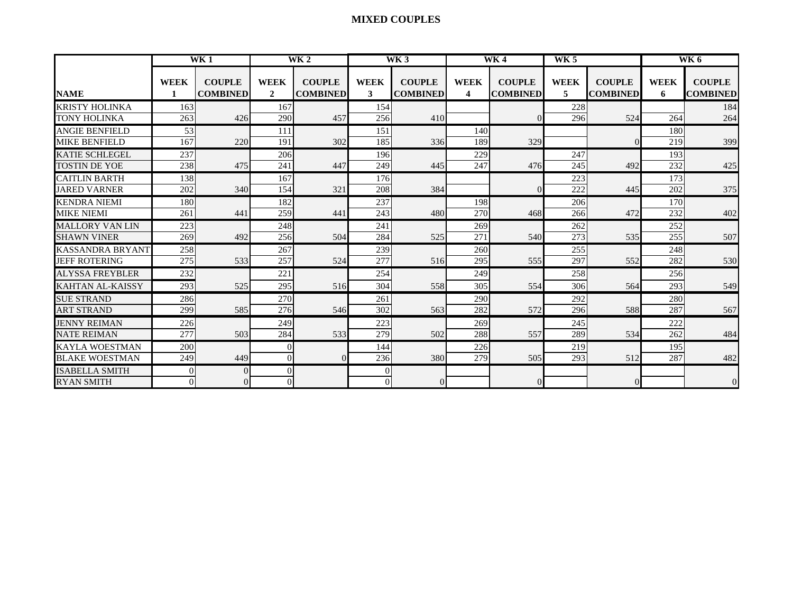#### **MIXED COUPLES**

| WK <sub>1</sub>         |                  |                                  |                             | $\overline{\text{WK}}$ 2         |                  | WK3                              |                  | <b>WK4</b>                       | $\overline{\text{WK }5}$ |                                  |                  | WK 6                             |
|-------------------------|------------------|----------------------------------|-----------------------------|----------------------------------|------------------|----------------------------------|------------------|----------------------------------|--------------------------|----------------------------------|------------------|----------------------------------|
| <b>NAME</b>             | <b>WEEK</b>      | <b>COUPLE</b><br><b>COMBINED</b> | <b>WEEK</b><br>$\mathbf{2}$ | <b>COUPLE</b><br><b>COMBINED</b> | <b>WEEK</b><br>3 | <b>COUPLE</b><br><b>COMBINED</b> | <b>WEEK</b><br>4 | <b>COUPLE</b><br><b>COMBINED</b> | <b>WEEK</b><br>5         | <b>COUPLE</b><br><b>COMBINED</b> | <b>WEEK</b><br>6 | <b>COUPLE</b><br><b>COMBINED</b> |
| <b>KRISTY HOLINKA</b>   | 163              |                                  | 167                         |                                  | 154              |                                  |                  |                                  | 228                      |                                  |                  | 184                              |
| <b>TONY HOLINKA</b>     | 263              | 426                              | 290                         | 457                              | 256              | 410                              |                  |                                  | 296                      | 524                              | 264              | 264                              |
| <b>ANGIE BENFIELD</b>   | 53               |                                  | 111                         |                                  | 151              |                                  | 140              |                                  |                          |                                  | 180              |                                  |
| <b>MIKE BENFIELD</b>    | 167              | 220                              | 191                         | 302                              | 185              | 336                              | 189              | 329                              |                          | 0                                | 219              | 399                              |
| <b>KATIE SCHLEGEL</b>   | 237              |                                  | 206                         |                                  | 196              |                                  | 229              |                                  | 247                      |                                  | 193              |                                  |
| <b>TOSTIN DE YOE</b>    | 238              | 475                              | 241                         | 447                              | 249              | 445                              | 247              | 476                              | 245                      | 492                              | 232              | 425                              |
| <b>CAITLIN BARTH</b>    | 138              |                                  | 167                         |                                  | 176              |                                  |                  |                                  | 223                      |                                  | 173              |                                  |
| <b>JARED VARNER</b>     | 202              | 340                              | 154                         | 321                              | 208              | 384                              |                  |                                  | 222                      | 445                              | 202              | 375                              |
| <b>KENDRA NIEMI</b>     | 180              |                                  | 182                         |                                  | 237              |                                  | 198              |                                  | 206                      |                                  | 170              |                                  |
| <b>MIKE NIEMI</b>       | 261              | 441                              | 259                         | 441                              | 243              | 480                              | 270              | 468                              | 266                      | 472                              | 232              | 402                              |
| <b>MALLORY VAN LIN</b>  | 223              |                                  | 248                         |                                  | 241              |                                  | 269              |                                  | 262                      |                                  | 252              |                                  |
| <b>SHAWN VINER</b>      | 269              | 492                              | 256                         | 504                              | 284              | 525                              | 271              | 540                              | 273                      | 535                              | 255              | 507                              |
| <b>KASSANDRA BRYANT</b> | 258              |                                  | 267                         |                                  | 239              |                                  | 260              |                                  | 255                      |                                  | 248              |                                  |
| <b>JEFF ROTERING</b>    | $\overline{275}$ | 533                              | 257                         | 524                              | 277              | 516                              | 295              | 555                              | 297                      | 552                              | 282              | 530                              |
| <b>ALYSSA FREYBLER</b>  | 232              |                                  | 221                         |                                  | 254              |                                  | 249              |                                  | 258                      |                                  | 256              |                                  |
| <b>KAHTAN AL-KAISSY</b> | $\overline{293}$ | 525                              | 295                         | 516                              | 304              | 558                              | 305              | 554                              | 306                      | 564                              | 293              | 549                              |
| <b>SUE STRAND</b>       | 286              |                                  | 270                         |                                  | 261              |                                  | 290              |                                  | 292                      |                                  | 280              |                                  |
| <b>ART STRAND</b>       | 299              | 585                              | 276                         | 546                              | 302              | 563                              | 282              | 572                              | 296                      | 588                              | 287              | 567                              |
| <b>JENNY REIMAN</b>     | 226              |                                  | 249                         |                                  | 223              |                                  | 269              |                                  | 245                      |                                  | 222              |                                  |
| <b>NATE REIMAN</b>      | 277              | 503                              | 284                         | 533                              | 279              | 502                              | 288              | 557                              | 289                      | 534                              | 262              | 484                              |
| <b>KAYLA WOESTMAN</b>   | 200              |                                  | $\Omega$                    |                                  | 144              |                                  | 226              |                                  | 219                      |                                  | 195              |                                  |
| <b>BLAKE WOESTMAN</b>   | 249              | 449                              | $\overline{0}$              | $\Omega$                         | 236              | 380                              | 279              | 505                              | 293                      | 512                              | 287              | 482                              |
| <b>ISABELLA SMITH</b>   | 0                |                                  | $\theta$                    |                                  | $\mathbf{0}$     |                                  |                  |                                  |                          |                                  |                  |                                  |
| <b>RYAN SMITH</b>       | 0                |                                  | $\Omega$                    |                                  | $\Omega$         | ΩI                               |                  |                                  |                          | $\Omega$                         |                  | $\Omega$                         |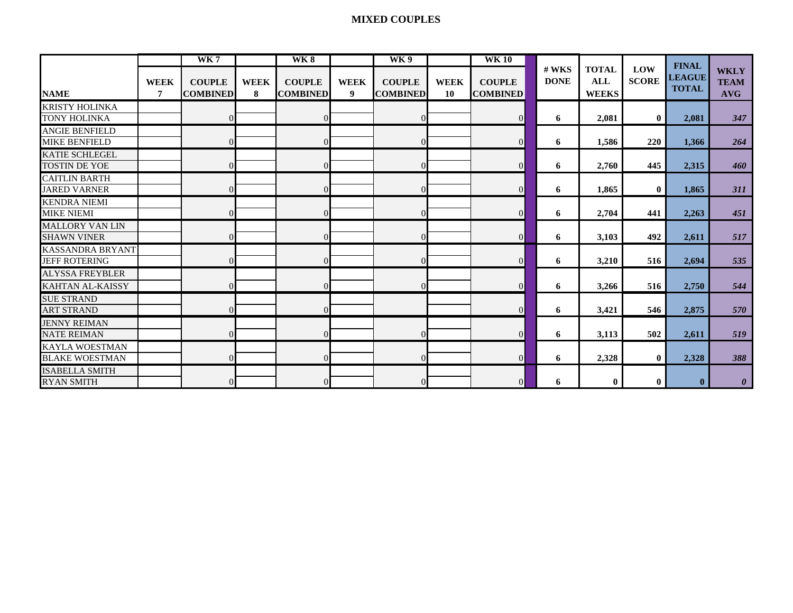#### **MIXED COUPLES**

|                         | WK <sub>7</sub> |                 |             |                 |                  | WK9             |             | <b>WK10</b>     |                      |                            |                     | <b>FINAL</b>  |                       |
|-------------------------|-----------------|-----------------|-------------|-----------------|------------------|-----------------|-------------|-----------------|----------------------|----------------------------|---------------------|---------------|-----------------------|
|                         |                 |                 |             |                 |                  |                 |             |                 | # WKS<br><b>DONE</b> | <b>TOTAL</b><br><b>ALL</b> | LOW<br><b>SCORE</b> | <b>LEAGUE</b> | <b>WKLY</b>           |
|                         | <b>WEEK</b>     | <b>COUPLE</b>   | <b>WEEK</b> | <b>COUPLE</b>   | <b>WEEK</b>      | <b>COUPLE</b>   | <b>WEEK</b> | <b>COUPLE</b>   |                      |                            |                     | <b>TOTAL</b>  | <b>TEAM</b>           |
| <b>NAME</b>             | 7               | <b>COMBINED</b> | 8           | <b>COMBINED</b> | $\boldsymbol{9}$ | <b>COMBINED</b> | 10          | <b>COMBINED</b> |                      | <b>WEEKS</b>               |                     |               | <b>AVG</b>            |
| <b>KRISTY HOLINKA</b>   |                 |                 |             |                 |                  |                 |             |                 |                      |                            |                     |               |                       |
| <b>TONY HOLINKA</b>     |                 |                 |             | $\Omega$        |                  | $\Omega$        |             | $\vert$         | 6                    | 2,081                      | $\bf{0}$            | 2,081         | 347                   |
| <b>ANGIE BENFIELD</b>   |                 |                 |             |                 |                  |                 |             |                 |                      |                            |                     |               |                       |
| <b>MIKE BENFIELD</b>    |                 |                 |             | $\mathbf{0}$    |                  | $\overline{0}$  |             | $\overline{0}$  | 6                    | 1,586                      | 220                 | 1,366         | 264                   |
| <b>KATIE SCHLEGEL</b>   |                 |                 |             |                 |                  |                 |             |                 |                      |                            |                     |               |                       |
| <b>TOSTIN DE YOE</b>    |                 |                 |             | $\Omega$        |                  | $\Omega$        |             | $\overline{0}$  | 6                    | 2,760                      | 445                 | 2,315         | 460                   |
| <b>CAITLIN BARTH</b>    |                 |                 |             |                 |                  |                 |             |                 |                      |                            |                     |               |                       |
| <b>JARED VARNER</b>     |                 |                 |             | $\Omega$        |                  | $\overline{0}$  |             | $\overline{0}$  | 6                    | 1,865                      | $\bf{0}$            | 1,865         | <b>311</b>            |
| <b>KENDRA NIEMI</b>     |                 |                 |             |                 |                  |                 |             |                 |                      |                            |                     |               |                       |
| <b>MIKE NIEMI</b>       |                 |                 |             |                 |                  | $\Omega$        |             | $\overline{0}$  | 6                    | 2,704                      | 441                 | 2,263         | 451                   |
| <b>MALLORY VAN LIN</b>  |                 |                 |             |                 |                  |                 |             |                 |                      |                            |                     |               |                       |
| <b>SHAWN VINER</b>      |                 |                 |             | $\Omega$        |                  | $\Omega$        |             | $\overline{0}$  | 6                    | 3,103                      | 492                 | 2,611         | 517                   |
| <b>KASSANDRA BRYANT</b> |                 |                 |             |                 |                  |                 |             |                 |                      |                            |                     |               |                       |
| <b>JEFF ROTERING</b>    |                 |                 |             | $\Omega$        |                  | $\Omega$        |             | $\overline{0}$  | 6                    | 3,210                      | 516                 | 2,694         | 535                   |
| <b>ALYSSA FREYBLER</b>  |                 |                 |             |                 |                  |                 |             |                 |                      |                            |                     |               |                       |
| <b>KAHTAN AL-KAISSY</b> |                 |                 |             | $\Omega$        |                  | $\Omega$        |             | $\overline{0}$  | 6                    | 3,266                      | 516                 | 2,750         | 544                   |
| <b>SUE STRAND</b>       |                 |                 |             |                 |                  |                 |             |                 |                      |                            |                     |               |                       |
| <b>ART STRAND</b>       |                 |                 |             | $\Omega$        |                  |                 |             | $\overline{0}$  | 6                    | 3,421                      | 546                 | 2,875         | 570                   |
| <b>JENNY REIMAN</b>     |                 |                 |             |                 |                  |                 |             |                 |                      |                            |                     |               |                       |
| <b>NATE REIMAN</b>      |                 | $\Omega$        |             | $\Omega$        |                  | $\Omega$        |             | $\overline{0}$  | 6                    | 3,113                      | 502                 | 2,611         | 519                   |
| <b>KAYLA WOESTMAN</b>   |                 |                 |             |                 |                  |                 |             |                 |                      |                            |                     |               |                       |
| <b>BLAKE WOESTMAN</b>   |                 | $\Omega$        |             | $\Omega$        |                  | $\Omega$        |             | $\overline{0}$  | 6                    | 2,328                      | $\bf{0}$            | 2,328         | 388                   |
| <b>ISABELLA SMITH</b>   |                 |                 |             |                 |                  |                 |             |                 |                      |                            |                     |               |                       |
| <b>RYAN SMITH</b>       |                 |                 |             |                 |                  | $\Omega$        |             | $\Omega$        | 6                    | $\bf{0}$                   | $\mathbf{0}$        | $\mathbf{0}$  | $\boldsymbol{\theta}$ |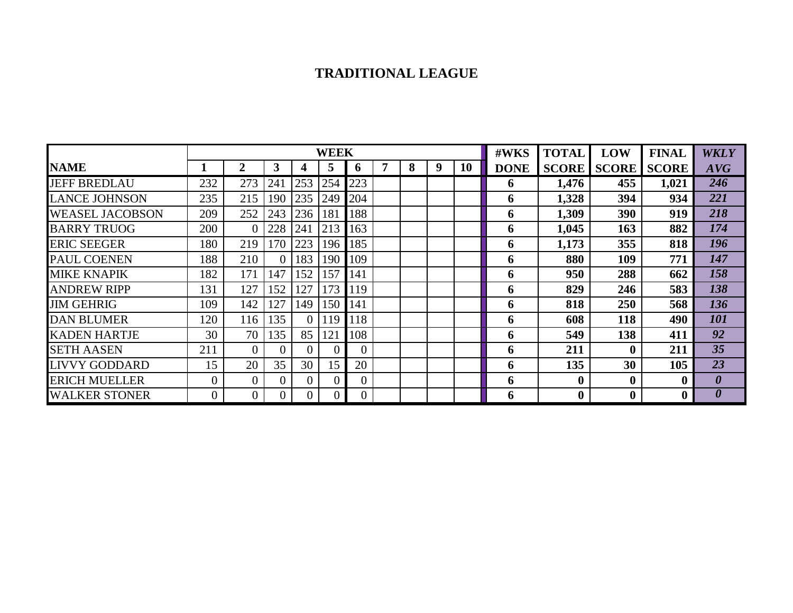#### **TRADITIONAL LEAGUE**

|                        |              |          |          |                | <b>WEEK</b> |          |   |   |   |    | #WKS        | <b>TOTAL</b>     | LOW              | <b>FINAL</b>     | <b>WKLY</b>           |
|------------------------|--------------|----------|----------|----------------|-------------|----------|---|---|---|----|-------------|------------------|------------------|------------------|-----------------------|
| <b>NAME</b>            |              | 2        | 3        | 4              | 5           | o        | 7 | 8 | 9 | 10 | <b>DONE</b> | <b>SCORE</b>     | <b>SCORE</b>     | <b>SCORE</b>     | AVG                   |
| <b>JEFF BREDLAU</b>    | 232          | 273      | 241      | 253            | 254         | 223      |   |   |   |    | 6           | 1,476            | 455              | 1,021            | 246                   |
| LANCE JOHNSON          | 235          | 215      | 190      | 235            | 249         | 204      |   |   |   |    | 6           | 1,328            | 394              | 934              | 221                   |
| <b>WEASEL JACOBSON</b> | 209          | 252      | 243      | 236            | 181         | 188      |   |   |   |    | 6           | 1,309            | 390              | 919              | 218                   |
| <b>BARRY TRUOG</b>     | 200          | $\theta$ | 228      | 241            | 213         | 163      |   |   |   |    | 6           | 1,045            | 163              | 882              | 174                   |
| <b>ERIC SEEGER</b>     | 180          | 219      | 170      | 223            | 196         | 185      |   |   |   |    | 6           | 1,173            | 355              | 818              | 196                   |
| PAUL COENEN            | 188          | 210      | $\Omega$ | 183            | 190         | 109      |   |   |   |    | 6           | 880              | 109              | 771              | 147                   |
| <b>MIKE KNAPIK</b>     | 182          | 171      | 147      | 152            | 157         | 141      |   |   |   |    | 6           | 950              | 288              | 662              | 158                   |
| <b>ANDREW RIPP</b>     | 131          | 127      | 152      | 127            | 173         | 119      |   |   |   |    | 6           | 829              | 246              | 583              | 138                   |
| <b>JIM GEHRIG</b>      | 109          | 142      | 127      | 149            | 150         | 141      |   |   |   |    | 6           | 818              | 250              | 568              | 136                   |
| <b>DAN BLUMER</b>      | 120          | 116      | 135      | 0              | 119         | 118      |   |   |   |    | 6           | 608              | 118              | 490              | 101                   |
| <b>KADEN HARTJE</b>    | 30           | 70       | 135      | 85             | 121         | 108      |   |   |   |    | 6           | 549              | 138              | 411              | 92                    |
| <b>SETH AASEN</b>      | 211          | $\Omega$ | $\Omega$ | $\overline{0}$ |             | $\theta$ |   |   |   |    | 6           | 211              | $\mathbf{0}$     | 211              | 35                    |
| <b>LIVVY GODDARD</b>   | 15           | 20       | 35       | 30             | 15          | 20       |   |   |   |    | 6           | 135              | 30               | 105              | 23                    |
| <b>ERICH MUELLER</b>   | 0            | $\theta$ | $\Omega$ | 0              |             | $\Omega$ |   |   |   |    | 6           | $\boldsymbol{0}$ | $\boldsymbol{0}$ | $\boldsymbol{0}$ | $\boldsymbol{\theta}$ |
| <b>WALKER STONER</b>   | $\mathbf{U}$ | $\Omega$ | $\Omega$ | 0              | 0           | $\Omega$ |   |   |   |    | 6           | $\bf{0}$         | $\boldsymbol{0}$ | $\boldsymbol{0}$ | 0                     |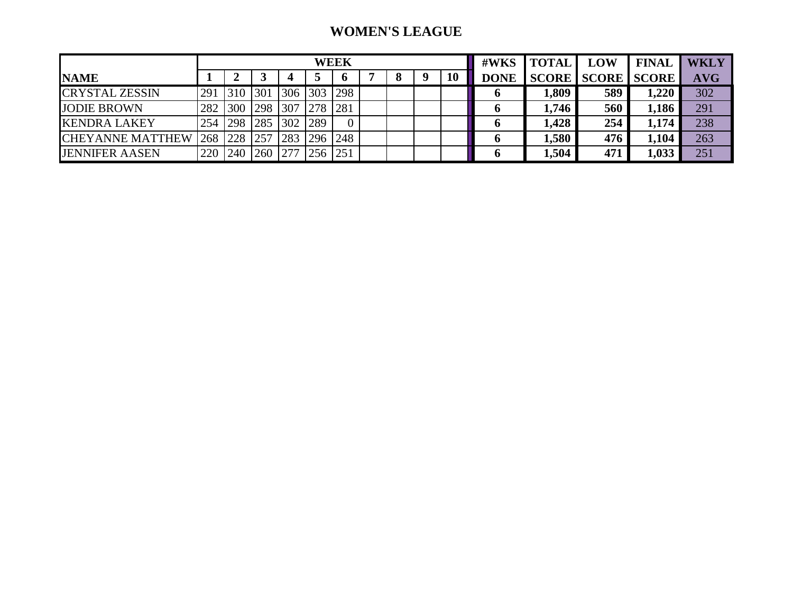#### **WOMEN'S LEAGUE**

|                         |     |     |     |         |     | WEEK |  |    | #WKS        | <b>TOTAL</b> | LOW                      | <b>FINAL</b> | <b>WKLY</b> |
|-------------------------|-----|-----|-----|---------|-----|------|--|----|-------------|--------------|--------------------------|--------------|-------------|
| <b>NAME</b>             |     |     |     |         |     |      |  | 10 | <b>DONE</b> |              | <b>SCORE SCORE SCORE</b> |              | <b>AVG</b>  |
| <b>CRYSTAL ZESSIN</b>   | 291 | 310 | 301 | 306 303 |     | 298  |  |    |             | 1,809        | 589                      | 1,220        | 302         |
| <b>JODIE BROWN</b>      | 282 | 300 | 298 | 307     | 278 | 281  |  |    |             | 1,746        | 560                      | 1,186        | 291         |
| <b>KENDRA LAKEY</b>     | 254 | 298 | 285 | 302     | 289 |      |  |    |             | 1,428        | 254                      | 1,174        | 238         |
| <b>CHEYANNE MATTHEW</b> | 268 | 228 | 257 | 283     | 296 | 248  |  |    |             | 1,580        | 476                      | 1,104        | 263         |
| <b>JENNIFER AASEN</b>   | 220 | 240 | 260 |         | 256 | 251  |  |    |             | 1,504        | 471                      | 1,033        | 251         |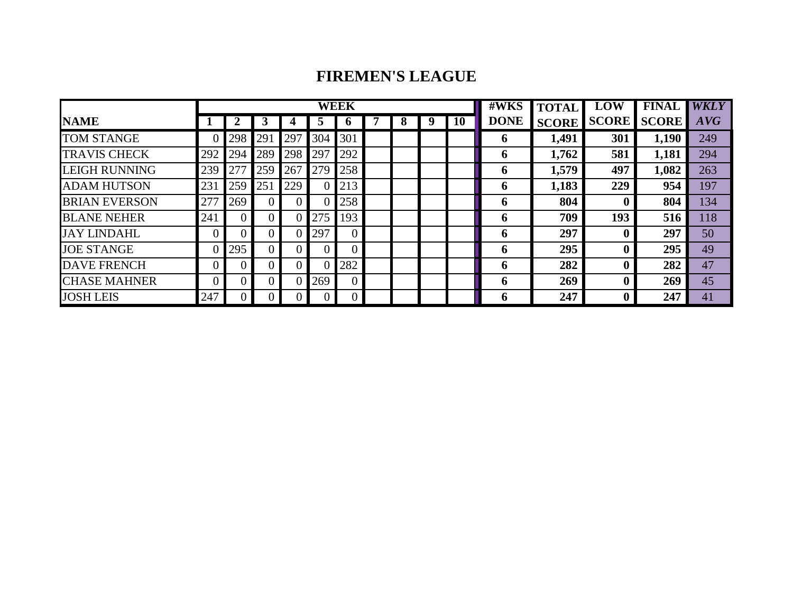#### **FIREMEN'S LEAGUE**

|                      |     |                |          |     |     | <b>WEEK</b> |   |   |    | #WKS        | <b>TOTAL</b> | LOW          | <b>FINAL</b> | <b>WKLY</b> |
|----------------------|-----|----------------|----------|-----|-----|-------------|---|---|----|-------------|--------------|--------------|--------------|-------------|
| <b>NAME</b>          |     |                |          |     | Э   | $\mathbf o$ | 8 | 9 | 10 | <b>DONE</b> | <b>SCORE</b> | <b>SCORE</b> | <b>SCORE</b> | AVG         |
| <b>TOM STANGE</b>    |     | 298            | 291      | 297 | 304 | 301         |   |   |    | $\mathbf b$ | 1,491        | 301          | 1,190        | 249         |
| <b>TRAVIS CHECK</b>  | 292 | 294            | 289      | 298 | 297 | 292         |   |   |    | o           | 1,762        | 581          | 1,181        | 294         |
| <b>LEIGH RUNNING</b> | 239 | 277            | 259      | 267 | 279 | 258         |   |   |    | 6           | 1,579        | 497          | 1,082        | 263         |
| <b>ADAM HUTSON</b>   | 231 | 259            | 251      | 229 |     | 213         |   |   |    | 6           | 1,183        | 229          | 954          | 197         |
| <b>BRIAN EVERSON</b> | 277 | 269            | 0        |     |     | 258         |   |   |    | $\mathbf b$ | 804          |              | 804          | 134         |
| <b>BLANE NEHER</b>   | 241 | $\overline{0}$ | $\theta$ |     | 275 | 193         |   |   |    | $\mathbf b$ | 709          | 193          | 516          | 118         |
| <b>JAY LINDAHL</b>   |     |                | 0        |     | 297 |             |   |   |    | o           | 297          |              | 297          | 50          |
| <b>JOE STANGE</b>    |     | 295            | $\theta$ |     |     |             |   |   |    | 6           | 295          |              | 295          | 49          |
| <b>DAVE FRENCH</b>   | 0   |                | 0        | 0   |     | 282         |   |   |    | o           | 282          |              | 282          | 47          |
| <b>CHASE MAHNER</b>  |     |                | 0        |     | 269 |             |   |   |    | 6           | 269          | 0            | 269          | 45          |
| <b>JOSH LEIS</b>     | 247 |                | 0        |     |     |             |   |   |    | $\mathbf b$ | 247          |              | 247          | 41          |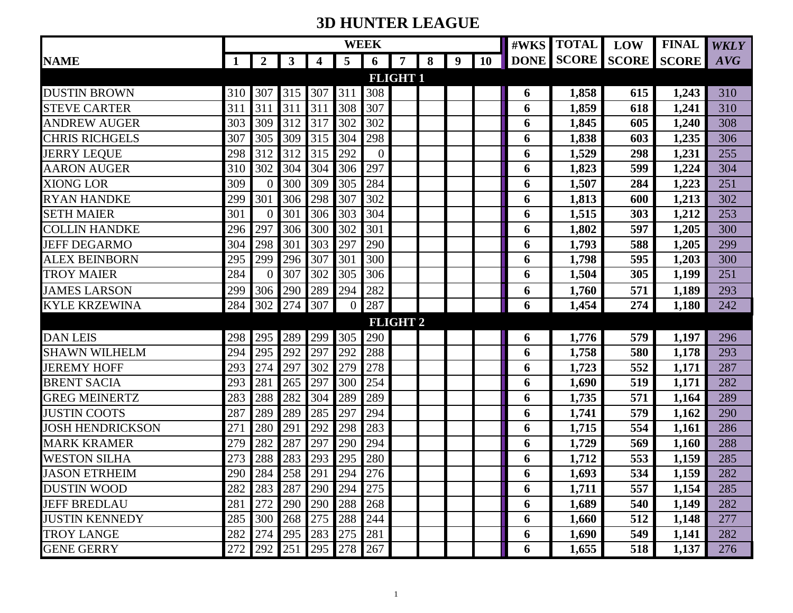## **3D HUNTER LEAGUE**

|                         |             |                  |         |         |             | <b>WEEK</b>    |                 |   |   |           | #WKS | <b>TOTAL</b>      | LOW | <b>FINAL</b>       | <b>WKLY</b> |
|-------------------------|-------------|------------------|---------|---------|-------------|----------------|-----------------|---|---|-----------|------|-------------------|-----|--------------------|-------------|
| <b>NAME</b>             | $\mathbf 1$ | $\boldsymbol{2}$ | 3       | 4       | 5           | 6              | $\overline{7}$  | 8 | 9 | <b>10</b> |      | <b>DONE SCORE</b> |     | <b>SCORE SCORE</b> | AVG         |
|                         |             |                  |         |         |             |                | <b>FLIGHT 1</b> |   |   |           |      |                   |     |                    |             |
| <b>DUSTIN BROWN</b>     | 310         | 307              | 315     | 307     | 311         | 308            |                 |   |   |           | 6    | 1,858             | 615 | 1,243              | 310         |
| <b>STEVE CARTER</b>     | 311         | 311              | 311     | 311     | 308         | 307            |                 |   |   |           | 6    | 1,859             | 618 | 1,241              | 310         |
| <b>ANDREW AUGER</b>     | 303         | 309              | 312     | 317     | 302         | 302            |                 |   |   |           | 6    | 1,845             | 605 | 1,240              | 308         |
| <b>CHRIS RICHGELS</b>   | 307         | 305              | 309     | 315     | 304         | 298            |                 |   |   |           | 6    | 1,838             | 603 | 1,235              | 306         |
| <b>JERRY LEQUE</b>      | 298         | 312              | 312     | 315     | 292         | $\overline{0}$ |                 |   |   |           | 6    | 1,529             | 298 | 1,231              | 255         |
| <b>AARON AUGER</b>      | 310         | 302              | 304     | 304     | 306         | 297            |                 |   |   |           | 6    | 1,823             | 599 | 1,224              | 304         |
| <b>XIONG LOR</b>        | 309         | $\overline{0}$   | 300     | 309     | 305         | 284            |                 |   |   |           | 6    | 1,507             | 284 | 1,223              | 251         |
| <b>RYAN HANDKE</b>      | 299         | 301              | 306     | 298     | 307         | 302            |                 |   |   |           | 6    | 1,813             | 600 | 1,213              | 302         |
| <b>SETH MAIER</b>       | 301         | $\overline{0}$   | 301     | 306     | 303         | 304            |                 |   |   |           | 6    | 1,515             | 303 | 1,212              | 253         |
| <b>COLLIN HANDKE</b>    | 296         | 297              | 306     | 300     | 302         | 301            |                 |   |   |           | 6    | 1,802             | 597 | 1,205              | 300         |
| <b>JEFF DEGARMO</b>     | 304         | 298              | 301     | 303     | 297         | 290            |                 |   |   |           | 6    | 1,793             | 588 | 1,205              | 299         |
| <b>ALEX BEINBORN</b>    | 295         | 299              | 296     | 307     | 301         | 300            |                 |   |   |           | 6    | 1,798             | 595 | 1,203              | 300         |
| <b>TROY MAIER</b>       | 284         | $\overline{0}$   | 307     | 302     | 305         | 306            |                 |   |   |           | 6    | 1,504             | 305 | 1,199              | 251         |
| <b>JAMES LARSON</b>     | 299         | 306              | 290     | 289     | 294         | 282            |                 |   |   |           | 6    | 1,760             | 571 | 1,189              | 293         |
| <b>KYLE KRZEWINA</b>    | 284         | 302              | 274     | 307     | $\Omega$    | 287            |                 |   |   |           | 6    | 1,454             | 274 | 1,180              | 242         |
|                         |             |                  |         |         |             |                | <b>FLIGHT 2</b> |   |   |           |      |                   |     |                    |             |
| <b>DAN LEIS</b>         | 298         | 295              | 289     | 299     | 305         | 290            |                 |   |   |           | 6    | 1,776             | 579 | 1,197              | 296         |
| <b>SHAWN WILHELM</b>    | 294         | 295              | 292     | 297     | 292         | 288            |                 |   |   |           | 6    | 1,758             | 580 | 1,178              | 293         |
| <b>JEREMY HOFF</b>      | 293         | 274              | 297     | 302     | 279         | 278            |                 |   |   |           | 6    | 1,723             | 552 | 1,171              | 287         |
| <b>BRENT SACIA</b>      | 293         | 281              | 265     | 297     | 300         | 254            |                 |   |   |           | 6    | 1,690             | 519 | 1,171              | 282         |
| <b>GREG MEINERTZ</b>    | 283         | 288              | 282     | 304     | 289         | 289            |                 |   |   |           | 6    | 1,735             | 571 | 1,164              | 289         |
| <b>JUSTIN COOTS</b>     | 287         | 289              | 289     | 285     | 297         | 294            |                 |   |   |           | 6    | 1,741             | 579 | 1,162              | 290         |
| <b>JOSH HENDRICKSON</b> | 271         | 280              | 291     | 292     | 298         | 283            |                 |   |   |           | 6    | 1,715             | 554 | 1,161              | 286         |
| <b>MARK KRAMER</b>      | 279         | 282              | 287     | 297     | 290         | 294            |                 |   |   |           | 6    | 1,729             | 569 | 1,160              | 288         |
| <b>WESTON SILHA</b>     | 273         | 288              | 283     | 293     | 295         | 280            |                 |   |   |           | 6    | 1,712             | 553 | 1,159              | 285         |
| <b>JASON ETRHEIM</b>    | 290         | 284              | 258     | 291     | 294         | 276            |                 |   |   |           | 6    | 1,693             | 534 | 1,159              | 282         |
| <b>DUSTIN WOOD</b>      | 282         |                  | 283 287 |         | 290 294 275 |                |                 |   |   |           | 6    | 1,711             | 557 | 1,154              | 285         |
| <b>JEFF BREDLAU</b>     | 281         | 272              | 290     | 290     | 288         | 268            |                 |   |   |           | 6    | 1,689             | 540 | 1,149              | 282         |
| <b>JUSTIN KENNEDY</b>   | 285         | 300              | 268     | 275     | 288         | 244            |                 |   |   |           | 6    | 1,660             | 512 | 1,148              | 277         |
| <b>TROY LANGE</b>       | 282         | 274              | 295     | 283     | 275         | 281            |                 |   |   |           | 6    | 1,690             | 549 | 1,141              | 282         |
| <b>GENE GERRY</b>       | 272         | 292              | 251     | 295 278 |             | 267            |                 |   |   |           | 6    | 1,655             | 518 | 1,137              | 276         |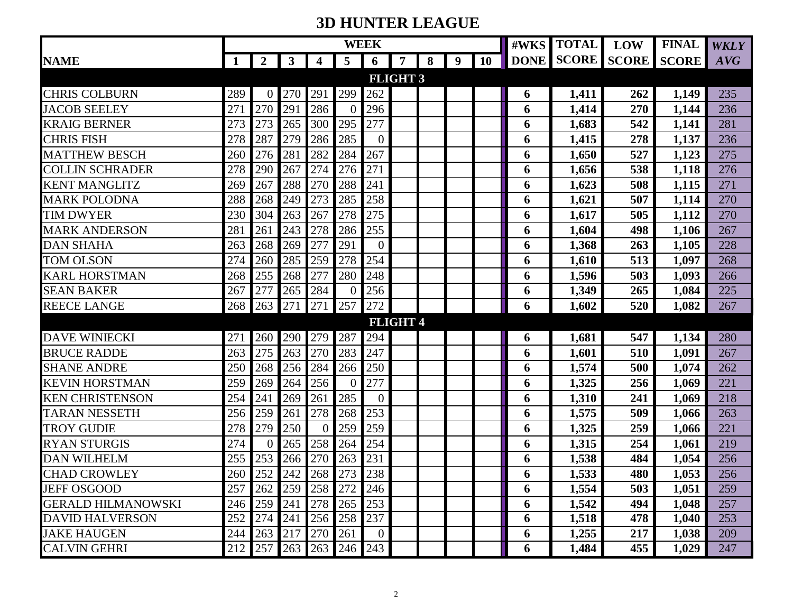## **3D HUNTER LEAGUE**

|                           |         |                |              |                         |     | <b>WEEK</b> |                 |   |   |           | #WKS | <b>TOTAL</b>      | LOW | <b>FINAL</b>       | <b>WKLY</b> |
|---------------------------|---------|----------------|--------------|-------------------------|-----|-------------|-----------------|---|---|-----------|------|-------------------|-----|--------------------|-------------|
| <b>NAME</b>               | 1       | $\overline{2}$ | $\mathbf{3}$ | 4                       | 5   | 6           | 7               | 8 | 9 | <b>10</b> |      | <b>DONE SCORE</b> |     | <b>SCORE</b> SCORE | AVG         |
|                           |         |                |              |                         |     |             | <b>FLIGHT 3</b> |   |   |           |      |                   |     |                    |             |
| <b>CHRIS COLBURN</b>      | 289     | 0              | 270          | 291                     | 299 | 262         |                 |   |   |           | 6    | 1,411             | 262 | 1,149              | 235         |
| <b>JACOB SEELEY</b>       | 271     | 270            | 291          | 286                     | -0  | 296         |                 |   |   |           | 6    | 1,414             | 270 | 1,144              | 236         |
| <b>KRAIG BERNER</b>       | 273     | 273            | 265          | 300                     | 295 | 277         |                 |   |   |           | 6    | 1,683             | 542 | 1,141              | 281         |
| <b>CHRIS FISH</b>         | 278     | 287            | 279          | 286                     | 285 | $\theta$    |                 |   |   |           | 6    | 1,415             | 278 | 1,137              | 236         |
| <b>MATTHEW BESCH</b>      | 260     | 276            | 281          | 282                     | 284 | 267         |                 |   |   |           | 6    | 1,650             | 527 | 1,123              | 275         |
| <b>COLLIN SCHRADER</b>    | 278     | 290            | 267          | 274                     | 276 | 271         |                 |   |   |           | 6    | 1,656             | 538 | 1,118              | 276         |
| <b>KENT MANGLITZ</b>      | 269     | 267            | 288          | 270                     | 288 | 241         |                 |   |   |           | 6    | 1,623             | 508 | 1,115              | 271         |
| <b>MARK POLODNA</b>       | 288     | 268            | 249          | 273                     | 285 | 258         |                 |   |   |           | 6    | 1,621             | 507 | 1,114              | 270         |
| <b>TIM DWYER</b>          | 230     | 304            | 263          | 267                     | 278 | 275         |                 |   |   |           | 6    | 1,617             | 505 | 1,112              | 270         |
| <b>MARK ANDERSON</b>      | 281     | 261            | 243          | 278                     | 286 | 255         |                 |   |   |           | 6    | 1,604             | 498 | 1,106              | 267         |
| <b>DAN SHAHA</b>          | 263     | 268            | 269          | 277                     | 291 | $\Omega$    |                 |   |   |           | 6    | 1,368             | 263 | 1,105              | 228         |
| <b>TOM OLSON</b>          | 274     | 260            | 285          | 259                     | 278 | 254         |                 |   |   |           | 6    | 1,610             | 513 | 1,097              | 268         |
| <b>KARL HORSTMAN</b>      | 268     | 255            | 268          | 277                     | 280 | 248         |                 |   |   |           | 6    | 1,596             | 503 | 1,093              | 266         |
| <b>SEAN BAKER</b>         | 267     | 277            | 265          | 284                     | -0  | 256         |                 |   |   |           | 6    | 1,349             | 265 | 1,084              | 225         |
| <b>REECE LANGE</b>        | 268     | 263            | 271          | 271                     | 257 | 272         |                 |   |   |           | 6    | 1,602             | 520 | 1,082              | 267         |
|                           |         |                |              |                         |     |             | <b>FLIGHT 4</b> |   |   |           |      |                   |     |                    |             |
| <b>DAVE WINIECKI</b>      | 271     | 260            | 290          | 279                     | 287 | 294         |                 |   |   |           | 6    | 1,681             | 547 | 1,134              | 280         |
| <b>BRUCE RADDE</b>        | 263     | 275            | 263          | 270                     | 283 | 247         |                 |   |   |           | 6    | 1,601             | 510 | 1,091              | 267         |
| <b>SHANE ANDRE</b>        | 250     | 268            | 256          | 284                     | 266 | 250         |                 |   |   |           | 6    | 1,574             | 500 | 1,074              | 262         |
| <b>KEVIN HORSTMAN</b>     | 259     | 269            | 264          | 256                     | -0  | 277         |                 |   |   |           | 6    | 1,325             | 256 | 1,069              | 221         |
| <b>KEN CHRISTENSON</b>    | 254     | 241            | 269          | 261                     | 285 | $\theta$    |                 |   |   |           | 6    | 1,310             | 241 | 1,069              | 218         |
| <b>TARAN NESSETH</b>      | 256     | 259            | 261          | 278                     | 268 | 253         |                 |   |   |           | 6    | 1,575             | 509 | 1,066              | 263         |
| <b>TROY GUDIE</b>         | 278     | 279            | 250          | $\Omega$                | 259 | 259         |                 |   |   |           | 6    | 1,325             | 259 | 1,066              | 221         |
| <b>RYAN STURGIS</b>       | 274     | 0              | 265          | 258                     | 264 | 254         |                 |   |   |           | 6    | 1,315             | 254 | 1,061              | 219         |
| <b>DAN WILHELM</b>        | 255     | 253            | 266          | 270                     | 263 | 231         |                 |   |   |           | 6    | 1,538             | 484 | 1,054              | 256         |
| <b>CHAD CROWLEY</b>       | 260     | 252            | 242          | 268                     | 273 | 238         |                 |   |   |           | 6    | 1,533             | 480 | 1,053              | 256         |
| JEFF OSGOOD               |         |                |              | 257 262 259 258 272 246 |     |             |                 |   |   |           | 6    | 1,554             | 503 | 1,051              | 259         |
| <b>GERALD HILMANOWSKI</b> | 246     | 259            | 241          | 278                     | 265 | 253         |                 |   |   |           | 6    | 1,542             | 494 | 1,048              | 257         |
| <b>DAVID HALVERSON</b>    | 252     | 274            | 241          | 256 258                 |     | 237         |                 |   |   |           | 6    | 1,518             | 478 | 1,040              | 253         |
| <b>JAKE HAUGEN</b>        | 244     | 263            | 217          | 270                     | 261 | $\theta$    |                 |   |   |           | 6    | 1,255             | 217 | 1,038              | 209         |
| <b>CALVIN GEHRI</b>       | 212 257 |                | 263          | 263 246                 |     | 243         |                 |   |   |           | 6    | 1,484             | 455 | 1,029              | 247         |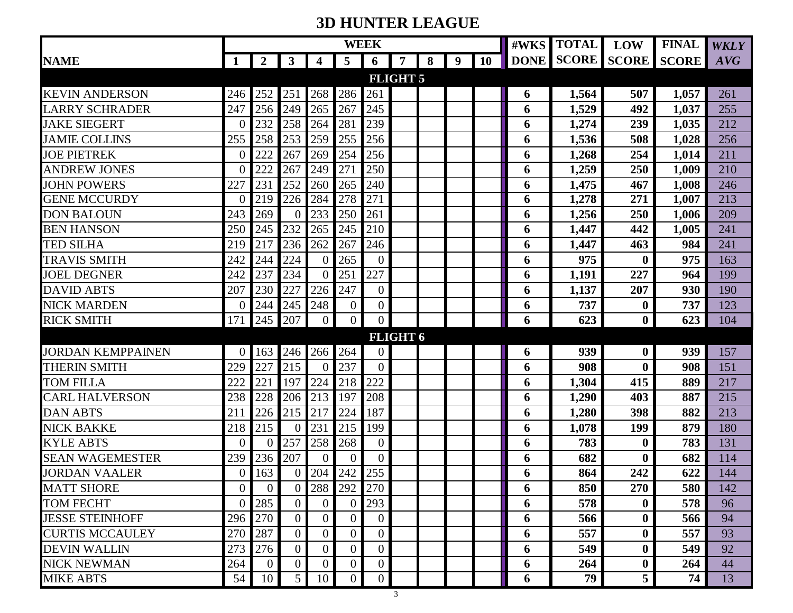## **3D HUNTER LEAGUE**

|                          |                  |                  |                |                |                | <b>WEEK</b>      |                 |   |   |           | #WKS | <b>TOTAL</b> | <b>LOW</b>             | <b>FINAL</b> | <b>WKLY</b> |
|--------------------------|------------------|------------------|----------------|----------------|----------------|------------------|-----------------|---|---|-----------|------|--------------|------------------------|--------------|-------------|
| <b>NAME</b>              | $\mathbf 1$      | $\boldsymbol{2}$ | 3              | 4              | 5              | 6                | 7               | 8 | 9 | <b>10</b> |      |              | DONE SCORE SCORE SCORE |              | AVG         |
|                          |                  |                  |                |                |                |                  | <b>FLIGHT 5</b> |   |   |           |      |              |                        |              |             |
| <b>KEVIN ANDERSON</b>    | 246              | 252              | 251            | 268            | 286            | 261              |                 |   |   |           | 6    | 1,564        | 507                    | 1,057        | 261         |
| <b>LARRY SCHRADER</b>    | 247              | 256              | 249            | 265            | 267            | 245              |                 |   |   |           | 6    | 1,529        | 492                    | 1,037        | 255         |
| <b>JAKE SIEGERT</b>      | $\boldsymbol{0}$ | 232              | 258            | 264            | 281            | 239              |                 |   |   |           | 6    | 1,274        | 239                    | 1,035        | 212         |
| <b>JAMIE COLLINS</b>     | 255              | 258              | 253            | 259            | 255            | 256              |                 |   |   |           | 6    | 1,536        | 508                    | 1,028        | 256         |
| <b>JOE PIETREK</b>       | $\boldsymbol{0}$ | 222              | 267            | 269            | 254            | 256              |                 |   |   |           | 6    | 1,268        | 254                    | 1,014        | 211         |
| <b>ANDREW JONES</b>      | $\overline{0}$   | 222              | 267            | 249            | 271            | 250              |                 |   |   |           | 6    | 1,259        | 250                    | 1,009        | 210         |
| <b>JOHN POWERS</b>       | 227              | 231              | 252            | 260            | 265            | 240              |                 |   |   |           | 6    | 1,475        | 467                    | 1,008        | 246         |
| <b>GENE MCCURDY</b>      | $\Omega$         | 219              | 226            | 284            | 278            | 271              |                 |   |   |           | 6    | 1,278        | 271                    | 1,007        | 213         |
| <b>DON BALOUN</b>        | 243              | 269              | 0              | 233            | 250            | 261              |                 |   |   |           | 6    | 1,256        | 250                    | 1,006        | 209         |
| <b>BEN HANSON</b>        | 250              | 245              | 232            | 265            | 245            | 210              |                 |   |   |           | 6    | 1,447        | 442                    | 1,005        | 241         |
| <b>TED SILHA</b>         | 219              | 217              | 236            | 262            | 267            | 246              |                 |   |   |           | 6    | 1,447        | 463                    | 984          | 241         |
| <b>TRAVIS SMITH</b>      | 242              | 244              | 224            | $\theta$       | 265            | $\overline{0}$   |                 |   |   |           | 6    | 975          | $\boldsymbol{0}$       | 975          | 163         |
| <b>JOEL DEGNER</b>       | 242              | 237              | 234            | $\Omega$       | 251            | 227              |                 |   |   |           | 6    | 1,191        | 227                    | 964          | 199         |
| <b>DAVID ABTS</b>        | 207              | 230              | 227            | 226            | 247            | $\mathbf{0}$     |                 |   |   |           | 6    | 1,137        | 207                    | 930          | 190         |
| <b>NICK MARDEN</b>       | $\overline{0}$   | 244              | 245            | 248            | $\overline{0}$ | $\overline{0}$   |                 |   |   |           | 6    | 737          | $\boldsymbol{0}$       | 737          | 123         |
| <b>RICK SMITH</b>        | 171              | 245              | 207            | $\overline{0}$ | $\overline{0}$ | $\overline{0}$   |                 |   |   |           | 6    | 623          | $\boldsymbol{0}$       | 623          | 104         |
|                          |                  |                  |                |                |                |                  | <b>FLIGHT 6</b> |   |   |           |      |              |                        |              |             |
| <b>JORDAN KEMPPAINEN</b> | 0                | 163              | 246            | 266            | 264            | $\Omega$         |                 |   |   |           | 6    | 939          | $\boldsymbol{0}$       | 939          | 157         |
| THERIN SMITH             | 229              | 227              | 215            | $\Omega$       | 237            | $\overline{0}$   |                 |   |   |           | 6    | 908          | $\boldsymbol{0}$       | 908          | 151         |
| <b>TOM FILLA</b>         | 222              | 221              | 197            | 224            | 218            | 222              |                 |   |   |           | 6    | 1,304        | 415                    | 889          | 217         |
| <b>CARL HALVERSON</b>    | 238              | 228              | 206            | 213            | 197            | 208              |                 |   |   |           | 6    | 1,290        | 403                    | 887          | 215         |
| <b>DAN ABTS</b>          | 211              | 226              | 215            | 217            | 224            | 187              |                 |   |   |           | 6    | 1,280        | 398                    | 882          | 213         |
| <b>NICK BAKKE</b>        | 218              | 215              | 0              | 231            | 215            | 199              |                 |   |   |           | 6    | 1,078        | 199                    | 879          | 180         |
| <b>KYLE ABTS</b>         | $\overline{0}$   | 0                | 257            | 258            | 268            | $\overline{0}$   |                 |   |   |           | 6    | 783          | $\boldsymbol{0}$       | 783          | 131         |
| <b>SEAN WAGEMESTER</b>   | 239              | 236              | 207            | $\theta$       | $\Omega$       | $\overline{0}$   |                 |   |   |           | 6    | 682          | $\boldsymbol{0}$       | 682          | 114         |
| <b>JORDAN VAALER</b>     | $\boldsymbol{0}$ | 163              | 0              | 204            | 242            | 255              |                 |   |   |           | 6    | 864          | 242                    | 622          | 144         |
| <b>MATT SHORE</b>        | $\overline{0}$   | $\overline{0}$   | $\overline{0}$ |                | 288 292 270    |                  |                 |   |   |           | 6    | 850          | 270                    | 580          | 142         |
| <b>TOM FECHT</b>         | $\Omega$         | 285              | $\overline{0}$ | $\Omega$       | $\Omega$       | 293              |                 |   |   |           | 6    | 578          | $\bf{0}$               | 578          | 96          |
| <b>JESSE STEINHOFF</b>   |                  | 296 270          | $\Omega$       | $\overline{0}$ | $\overline{0}$ | $\overline{0}$   |                 |   |   |           | 6    | 566          | $\bf{0}$               | 566          | 94          |
| <b>CURTIS MCCAULEY</b>   | 270              | 287              | $\Omega$       | $\overline{0}$ | $\overline{0}$ | $\boldsymbol{0}$ |                 |   |   |           | 6    | 557          | $\bf{0}$               | 557          | 93          |
| <b>DEVIN WALLIN</b>      | 273              | 276              | $\Omega$       | $\overline{0}$ | $\overline{0}$ | $\theta$         |                 |   |   |           | 6    | 549          | $\bf{0}$               | 549          | 92          |
| <b>NICK NEWMAN</b>       | 264              | $\overline{0}$   | $\Omega$       | $\theta$       | $\overline{0}$ | $\boldsymbol{0}$ |                 |   |   |           | 6    | 264          | $\boldsymbol{0}$       | 264          | 44          |
| <b>MIKE ABTS</b>         | 54               | 10               | 5 <sup>1</sup> | 10             | $\overline{0}$ | $\overline{0}$   |                 |   |   |           | 6    | 79           | 5                      | 74           | 13          |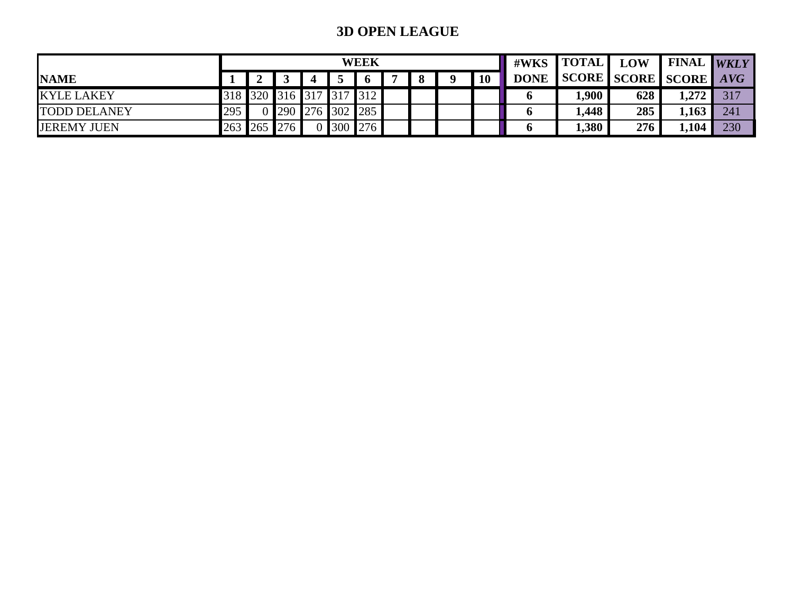## **3D OPEN LEAGUE**

|                     |     |                         |                   |  | <b>WEEK</b> |  |           |             | $\#WKS$ [TOTAL]       | <b>LOW</b> | <b>I FINAL WKLY'</b> |     |
|---------------------|-----|-------------------------|-------------------|--|-------------|--|-----------|-------------|-----------------------|------------|----------------------|-----|
| <b>NAME</b>         |     |                         |                   |  | $\bm{6}$    |  | <b>10</b> | <b>DONE</b> | SCORE SCORE SCORE AVG |            |                      |     |
| <b>KYLE LAKEY</b>   |     | 318 320 316 317 317 312 |                   |  |             |  |           |             | $1,900$ .             | 628        | 1,272                | 317 |
| <b>TODD DELANEY</b> | 295 |                         | 0 290 276 302 285 |  |             |  |           |             | .448                  | 285        | 1,163                | 241 |
| <b>JEREMY JUEN</b>  |     | 263 265 276             |                   |  | 0 300 276   |  |           |             | 1,380                 | 276        | 1,104                | 230 |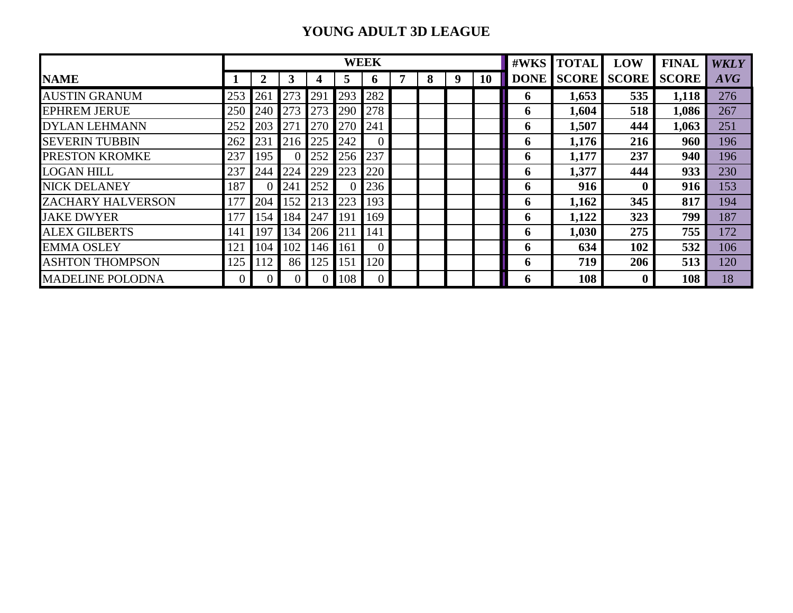### **YOUNG ADULT 3D LEAGUE**

|                          |     |          |     |                 |     | <b>WEEK</b>  |   |   | #WKS | <b>TOTAL</b> | <b>LOW</b>  | <b>FINAL</b> | <b>WKLY</b>  |              |     |
|--------------------------|-----|----------|-----|-----------------|-----|--------------|---|---|------|--------------|-------------|--------------|--------------|--------------|-----|
| <b>NAME</b>              |     |          | 3   |                 | 5   | <sup>0</sup> | 7 | 8 | 9    | <b>10</b>    | <b>DONE</b> | <b>SCORE</b> | <b>SCORE</b> | <b>SCORE</b> | AVG |
| <b>AUSTIN GRANUM</b>     | 253 | 261      | 273 | 29 <sup>°</sup> | 293 | 282          |   |   |      |              | 6           | 1,653        | 535          | 1,118        | 276 |
| <b>EPHREM JERUE</b>      | 250 | 240      | 273 | 273             | 290 | 278          |   |   |      |              | 6           | 1,604        | 518          | 1,086        | 267 |
| <b>DYLAN LEHMANN</b>     | 252 | 203      | 271 | 270             | 270 | 241          |   |   |      |              | 6           | 1,507        | 444          | 1,063        | 251 |
| <b>SEVERIN TUBBIN</b>    | 262 | 231      | 216 | 225             | 242 | $\Omega$     |   |   |      |              | 6           | 1,176        | 216          | 960          | 196 |
| <b>PRESTON KROMKE</b>    | 237 | 195      |     | 252             | 256 | 237          |   |   |      |              | O.          | 1,177        | 237          | 940          | 196 |
| <b>LOGAN HILL</b>        | 237 | 244      | 224 | 229             | 223 | 220          |   |   |      |              | 6           | 1,377        | 444          | 933          | 230 |
| <b>NICK DELANEY</b>      | 187 |          | 241 | 252             |     | 236          |   |   |      |              | 6           | 916          | $\bf{0}$     | 916          | 153 |
| <b>ZACHARY HALVERSON</b> | 177 | 204      | 152 | 213             | 223 | 193          |   |   |      |              | 6           | 1,162        | 345          | 817          | 194 |
| <b>JAKE DWYER</b>        | 177 | 154      | 184 | 247             | 191 | 169          |   |   |      |              | 6           | 1,122        | 323          | 799          | 187 |
| <b>ALEX GILBERTS</b>     | 141 | 197      | 134 | 206             | 211 | 141          |   |   |      |              | 6           | 1,030        | 275          | 755          | 172 |
| <b>EMMA OSLEY</b>        | 121 | 104      | 102 | 146             | 161 | $\Omega$     |   |   |      |              | 6           | 634          | 102          | 532          | 106 |
| <b>ASHTON THOMPSON</b>   | 125 | 112      | 86  | 125             | 151 | 120          |   |   |      |              | 6           | 719          | 206          | 513          | 120 |
| <b>MADELINE POLODNA</b>  |     | $\Omega$ |     |                 | 108 |              |   |   |      |              | 0           | 108          | $\bf{0}$     | 108          | 18  |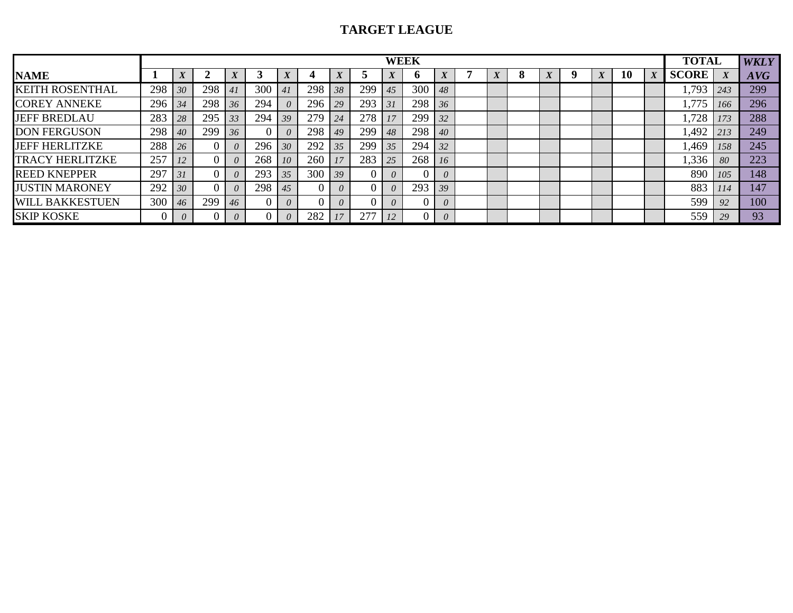### **TARGET LEAGUE**

|                        | <b>WEEK</b> |          |     |    |     |          |          |                  |     |           |     |          |  |  |  | <b>TOTAL</b> |    | <b>WKLY</b> |              |            |     |
|------------------------|-------------|----------|-----|----|-----|----------|----------|------------------|-----|-----------|-----|----------|--|--|--|--------------|----|-------------|--------------|------------|-----|
| <b>NAME</b>            |             |          |     |    |     |          |          | $\boldsymbol{X}$ |     | $\Lambda$ | v   |          |  |  |  |              | 10 | Δ           | <b>SCORE</b> |            | AVG |
| <b>KEITH ROSENTHAL</b> | 298         | 30       | 298 |    | 300 |          | 298      | 38               | 299 | 45        | 300 | 48       |  |  |  |              |    |             | .793         | 243        | 299 |
| <b>COREY ANNEKE</b>    | 296         | 34       | 298 | 36 | 294 | 0        | 296      | 29               | 293 | 31        | 298 | 36       |  |  |  |              |    |             | ,775         | -166       | 296 |
| <b>JEFF BREDLAU</b>    | 283         | 28       | 295 | 33 | 294 | 39       | 279      | 24               | 278 | 17        | 299 | 32       |  |  |  |              |    |             | 1,728        | 173        | 288 |
| <b>DON FERGUSON</b>    | 298         | 40       | 299 | 36 |     | $\theta$ | 298      | 49               | 299 | 48        | 298 | 40       |  |  |  |              |    |             | 1,492        | 213        | 249 |
| <b>JEFF HERLITZKE</b>  | 288         | 26       |     |    | 296 | 30       | 292      | 35 <sup>7</sup>  | 299 | 35        | 294 | 32       |  |  |  |              |    |             | 1,469        | 158        | 245 |
| <b>TRACY HERLITZKE</b> | 257         |          |     |    | 268 | 10       | 260      | 17               | 283 | 25        | 268 | 16       |  |  |  |              |    |             | 1,336        | 80         | 223 |
| <b>REED KNEPPER</b>    | 297         | 31       |     |    | 293 | 35       | 300      | 39 <sup>7</sup>  |     | $\theta$  |     | $\theta$ |  |  |  |              |    |             | 890          | 105        | 148 |
| <b>JUSTIN MARONEY</b>  | 292         | 30       |     |    | 298 | 45       | $\theta$ |                  |     | $\theta$  | 293 | 39       |  |  |  |              |    |             | 883          | <i>114</i> | 147 |
| <b>WILL BAKKESTUEN</b> | 300         | 46       | 299 | 46 |     | $\theta$ |          | $\theta$         |     | $\theta$  |     | $\theta$ |  |  |  |              |    |             | 599          | 92         | 100 |
| <b>SKIP KOSKE</b>      |             | $\theta$ |     |    |     | $\theta$ | 282      | 17               | 277 | 12        |     | $\theta$ |  |  |  |              |    |             | 559          | 29         | 93  |